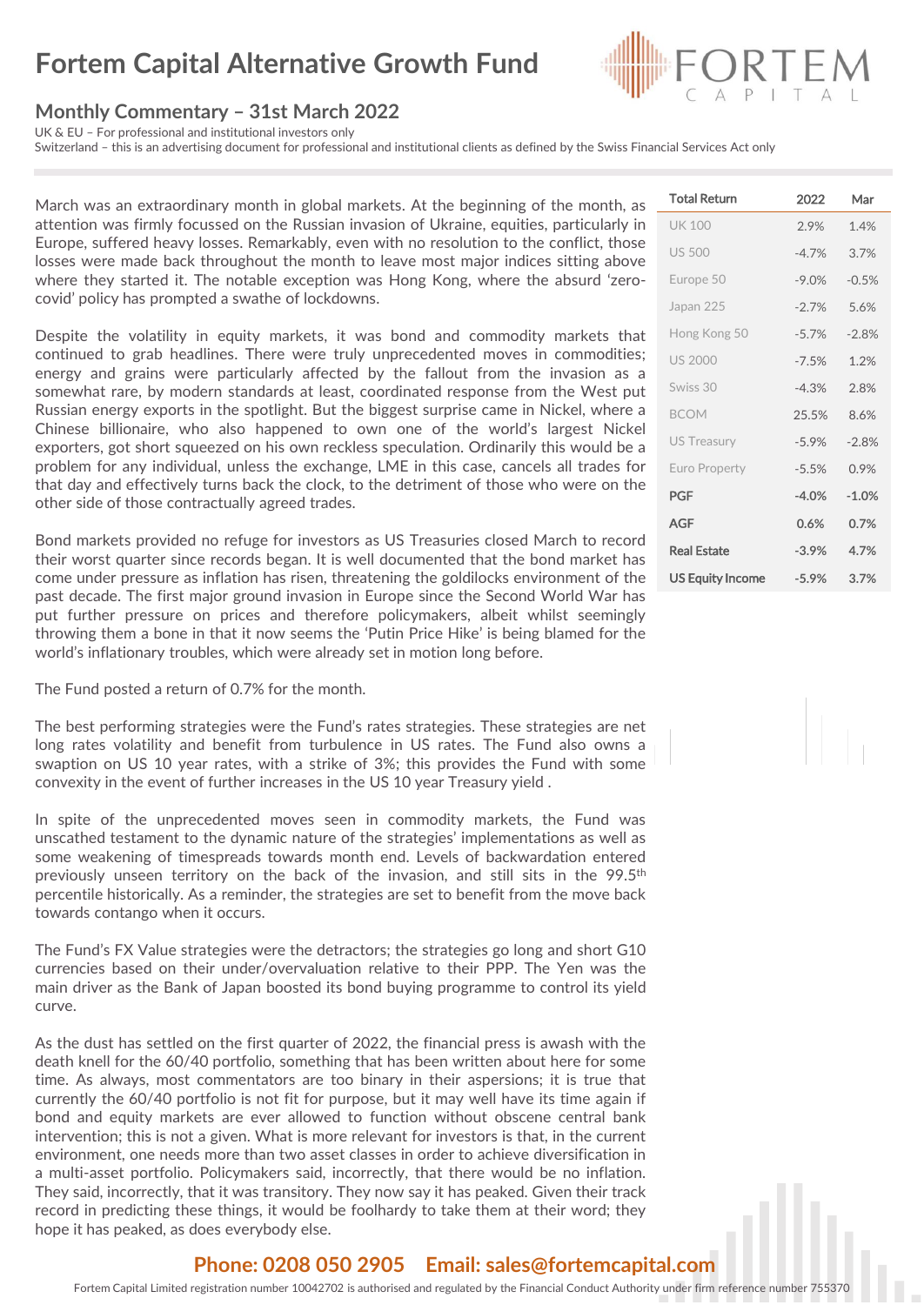# **Fortem Capital Alternative Growth Fund**

#### **Monthly Commentary – 31st March 2022**

UK & EU – For professional and institutional investors only

Switzerland – this is an advertising document for professional and institutional clients as defined by the Swiss Financial Services Act only

March was an extraordinary month in global markets. At the beginning of the month, as attention was firmly focussed on the Russian invasion of Ukraine, equities, particularly in Europe, suffered heavy losses. Remarkably, even with no resolution to the conflict, those losses were made back throughout the month to leave most major indices sitting above where they started it. The notable exception was Hong Kong, where the absurd 'zerocovid' policy has prompted a swathe of lockdowns.

Despite the volatility in equity markets, it was bond and commodity markets that continued to grab headlines. There were truly unprecedented moves in commodities; energy and grains were particularly affected by the fallout from the invasion as a somewhat rare, by modern standards at least, coordinated response from the West put Russian energy exports in the spotlight. But the biggest surprise came in Nickel, where a Chinese billionaire, who also happened to own one of the world's largest Nickel exporters, got short squeezed on his own reckless speculation. Ordinarily this would be a problem for any individual, unless the exchange, LME in this case, cancels all trades for that day and effectively turns back the clock, to the detriment of those who were on the other side of those contractually agreed trades.

Bond markets provided no refuge for investors as US Treasuries closed March to record their worst quarter since records began. It is well documented that the bond market has come under pressure as inflation has risen, threatening the goldilocks environment of the past decade. The first major ground invasion in Europe since the Second World War has put further pressure on prices and therefore policymakers, albeit whilst seemingly throwing them a bone in that it now seems the 'Putin Price Hike' is being blamed for the world's inflationary troubles, which were already set in motion long before.

The Fund posted a return of 0.7% for the month.

The best performing strategies were the Fund's rates strategies. These strategies are net long rates volatility and benefit from turbulence in US rates. The Fund also owns a swaption on US 10 year rates, with a strike of 3%; this provides the Fund with some convexity in the event of further increases in the US 10 year Treasury yield .

In spite of the unprecedented moves seen in commodity markets, the Fund was unscathed testament to the dynamic nature of the strategies' implementations as well as some weakening of timespreads towards month end. Levels of backwardation entered previously unseen territory on the back of the invasion, and still sits in the 99.5<sup>th</sup> percentile historically. As a reminder, the strategies are set to benefit from the move back towards contango when it occurs.

The Fund's FX Value strategies were the detractors; the strategies go long and short G10 currencies based on their under/overvaluation relative to their PPP. The Yen was the main driver as the Bank of Japan boosted its bond buying programme to control its yield curve.

As the dust has settled on the first quarter of 2022, the financial press is awash with the death knell for the 60/40 portfolio, something that has been written about here for some time. As always, most commentators are too binary in their aspersions; it is true that currently the 60/40 portfolio is not fit for purpose, but it may well have its time again if bond and equity markets are ever allowed to function without obscene central bank intervention; this is not a given. What is more relevant for investors is that, in the current environment, one needs more than two asset classes in order to achieve diversification in a multi-asset portfolio. Policymakers said, incorrectly, that there would be no inflation. They said, incorrectly, that it was transitory. They now say it has peaked. Given their track record in predicting these things, it would be foolhardy to take them at their word; they hope it has peaked, as does everybody else.

### Total Return 2022 Mar UK 100 2.9% 1.4% US 500 -4.7% 3.7% Europe 50 -9.0% -0.5% Japan 225 -2.7% 5.6% Hong Kong 50 -5.7% -2.8% US 2000 -7.5% 1.2% Swiss 30 -4.3% 2.8% BCOM 25.5% 8.6% US Treasury -5.9% -2.8% Euro Property -5.5% 0.9% PGF **-4.0% -1.0%** AGF **0.6% 0.7%** Real Estate **-3.9% 4.7%** US Equity Income **-5.9% 3.7%**

#### **Phone: 0208 050 2905 Email: sales@fortemcapital.com**